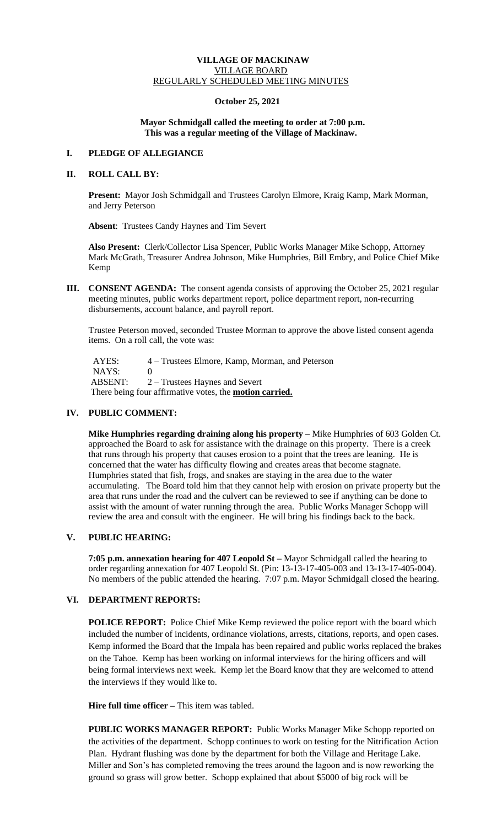### **VILLAGE OF MACKINAW** VILLAGE BOARD REGULARLY SCHEDULED MEETING MINUTES

### **October 25, 2021**

### **Mayor Schmidgall called the meeting to order at 7:00 p.m. This was a regular meeting of the Village of Mackinaw.**

### **I. PLEDGE OF ALLEGIANCE**

## **II. ROLL CALL BY:**

**Present:** Mayor Josh Schmidgall and Trustees Carolyn Elmore, Kraig Kamp, Mark Morman, and Jerry Peterson

 **Absent**: Trustees Candy Haynes and Tim Severt

**Also Present:** Clerk/Collector Lisa Spencer, Public Works Manager Mike Schopp, Attorney Mark McGrath, Treasurer Andrea Johnson, Mike Humphries, Bill Embry, and Police Chief Mike Kemp

**III. CONSENT AGENDA:** The consent agenda consists of approving the October 25, 2021 regular meeting minutes, public works department report, police department report, non-recurring disbursements, account balance, and payroll report.

Trustee Peterson moved, seconded Trustee Morman to approve the above listed consent agenda items. On a roll call, the vote was:

AYES: 4 – Trustees Elmore, Kamp, Morman, and Peterson NAYS: 0 ABSENT: 2 – Trustees Haynes and Severt There being four affirmative votes, the **motion carried.**

### **IV. PUBLIC COMMENT:**

**Mike Humphries regarding draining along his property –** Mike Humphries of 603 Golden Ct. approached the Board to ask for assistance with the drainage on this property. There is a creek that runs through his property that causes erosion to a point that the trees are leaning. He is concerned that the water has difficulty flowing and creates areas that become stagnate. Humphries stated that fish, frogs, and snakes are staying in the area due to the water accumulating. The Board told him that they cannot help with erosion on private property but the area that runs under the road and the culvert can be reviewed to see if anything can be done to assist with the amount of water running through the area. Public Works Manager Schopp will review the area and consult with the engineer. He will bring his findings back to the back.

## **V. PUBLIC HEARING:**

**7:05 p.m. annexation hearing for 407 Leopold St –** Mayor Schmidgall called the hearing to order regarding annexation for 407 Leopold St. (Pin: 13-13-17-405-003 and 13-13-17-405-004). No members of the public attended the hearing. 7:07 p.m. Mayor Schmidgall closed the hearing.

# **VI. DEPARTMENT REPORTS:**

**POLICE REPORT:** Police Chief Mike Kemp reviewed the police report with the board which included the number of incidents, ordinance violations, arrests, citations, reports, and open cases. Kemp informed the Board that the Impala has been repaired and public works replaced the brakes on the Tahoe. Kemp has been working on informal interviews for the hiring officers and will being formal interviews next week. Kemp let the Board know that they are welcomed to attend the interviews if they would like to.

**Hire full time officer –** This item was tabled.

**PUBLIC WORKS MANAGER REPORT:** Public Works Manager Mike Schopp reported on the activities of the department. Schopp continues to work on testing for the Nitrification Action Plan. Hydrant flushing was done by the department for both the Village and Heritage Lake. Miller and Son's has completed removing the trees around the lagoon and is now reworking the ground so grass will grow better. Schopp explained that about \$5000 of big rock will be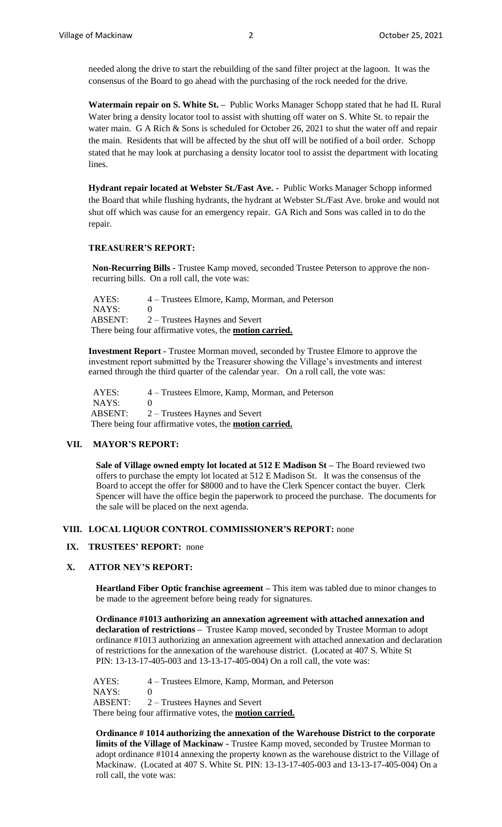needed along the drive to start the rebuilding of the sand filter project at the lagoon. It was the consensus of the Board to go ahead with the purchasing of the rock needed for the drive.

**Watermain repair on S. White St. –** Public Works Manager Schopp stated that he had IL Rural Water bring a density locator tool to assist with shutting off water on S. White St. to repair the water main. G A Rich & Sons is scheduled for October 26, 2021 to shut the water off and repair the main. Residents that will be affected by the shut off will be notified of a boil order. Schopp stated that he may look at purchasing a density locator tool to assist the department with locating lines.

**Hydrant repair located at Webster St./Fast Ave. -** Public Works Manager Schopp informed the Board that while flushing hydrants, the hydrant at Webster St.**/**Fast Ave. broke and would not shut off which was cause for an emergency repair. GA Rich and Sons was called in to do the repair.

#### **TREASURER'S REPORT:**

**Non-Recurring Bills -** Trustee Kamp moved, seconded Trustee Peterson to approve the nonrecurring bills. On a roll call, the vote was:

 AYES: 4 – Trustees Elmore, Kamp, Morman, and Peterson NAYS: 0 ABSENT: 2 – Trustees Haynes and Severt There being four affirmative votes, the **motion carried.**

**Investment Report -** Trustee Morman moved, seconded by Trustee Elmore to approve the investment report submitted by the Treasurer showing the Village's investments and interest earned through the third quarter of the calendar year. On a roll call, the vote was:

 AYES: 4 – Trustees Elmore, Kamp, Morman, and Peterson NAYS: 0 ABSENT: 2 – Trustees Haynes and Severt There being four affirmative votes, the **motion carried.**

### **VII. MAYOR'S REPORT:**

**Sale of Village owned empty lot located at 512 E Madison St –** The Board reviewed two offers to purchase the empty lot located at 512 E Madison St. It was the consensus of the Board to accept the offer for \$8000 and to have the Clerk Spencer contact the buyer. Clerk Spencer will have the office begin the paperwork to proceed the purchase. The documents for the sale will be placed on the next agenda.

# **VIII. LOCAL LIQUOR CONTROL COMMISSIONER'S REPORT:** none

### **IX. TRUSTEES' REPORT:** none

### **X. ATTOR NEY'S REPORT:**

**Heartland Fiber Optic franchise agreement –** This item was tabled due to minor changes to be made to the agreement before being ready for signatures.

**Ordinance #1013 authorizing an annexation agreement with attached annexation and declaration of restrictions –** Trustee Kamp moved, seconded by Trustee Morman to adopt ordinance #1013 authorizing an annexation agreement with attached annexation and declaration of restrictions for the annexation of the warehouse district. (Located at 407 S. White St PIN: 13-13-17-405-003 and 13-13-17-405-004) On a roll call, the vote was:

 AYES: 4 – Trustees Elmore, Kamp, Morman, and Peterson  $NAYS: 0$ ABSENT: 2 – Trustees Haynes and Severt There being four affirmative votes, the **motion carried.**

**Ordinance # 1014 authorizing the annexation of the Warehouse District to the corporate limits of the Village of Mackinaw -** Trustee Kamp moved, seconded by Trustee Morman to adopt ordinance #1014 annexing the property known as the warehouse district to the Village of Mackinaw. (Located at 407 S. White St. PIN: 13-13-17-405-003 and 13-13-17-405-004) On a roll call, the vote was: